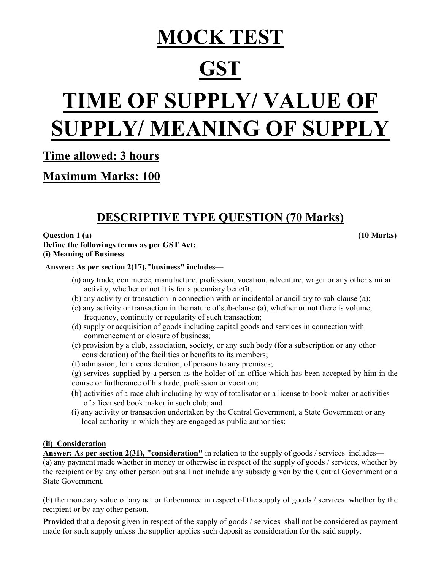## MOCK TEST

## **GST**

# TIME OF SUPPLY/ VALUE OF SUPPLY/ MEANING OF SUPPLY

## Time allowed: 3 hours

Maximum Marks: 100

## DESCRIPTIVE TYPE QUESTION (70 Marks)

Question 1 (a) (10 Marks) Define the followings terms as per GST Act: (i) Meaning of Business

### Answer: As per section 2(17),"business" includes—

- (a) any trade, commerce, manufacture, profession, vocation, adventure, wager or any other similar activity, whether or not it is for a pecuniary benefit;
- (b) any activity or transaction in connection with or incidental or ancillary to sub-clause (a);
- (c) any activity or transaction in the nature of sub-clause (a), whether or not there is volume, frequency, continuity or regularity of such transaction;
- (d) supply or acquisition of goods including capital goods and services in connection with commencement or closure of business;
- (e) provision by a club, association, society, or any such body (for a subscription or any other consideration) of the facilities or benefits to its members;
- (f) admission, for a consideration, of persons to any premises;

(g) services supplied by a person as the holder of an office which has been accepted by him in the course or furtherance of his trade, profession or vocation;

- (h) activities of a race club including by way of totalisator or a license to book maker or activities of a licensed book maker in such club; and
- (i) any activity or transaction undertaken by the Central Government, a State Government or any local authority in which they are engaged as public authorities;

### (ii) Consideration

Answer: As per section 2(31), "consideration" in relation to the supply of goods / services includes—

(a) any payment made whether in money or otherwise in respect of the supply of goods / services, whether by the recipient or by any other person but shall not include any subsidy given by the Central Government or a State Government.

(b) the monetary value of any act or forbearance in respect of the supply of goods / services whether by the recipient or by any other person.

Provided that a deposit given in respect of the supply of goods / services shall not be considered as payment made for such supply unless the supplier applies such deposit as consideration for the said supply.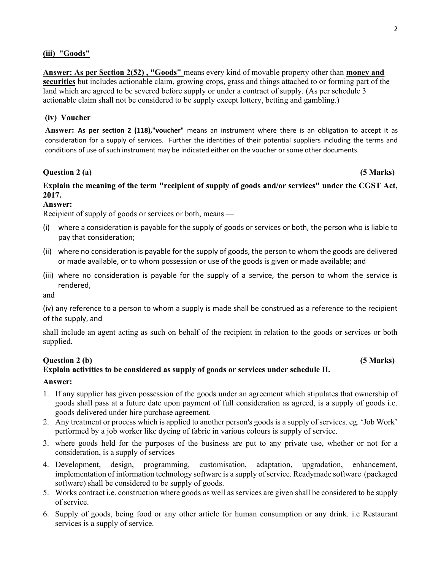### (iii) "Goods"

Answer: As per Section 2(52), "Goods" means every kind of movable property other than money and securities but includes actionable claim, growing crops, grass and things attached to or forming part of the land which are agreed to be severed before supply or under a contract of supply. (As per schedule 3 actionable claim shall not be considered to be supply except lottery, betting and gambling.)

### (iv) Voucher

Answer: As per section 2 (118),"voucher" means an instrument where there is an obligation to accept it as consideration for a supply of services. Further the identities of their potential suppliers including the terms and conditions of use of such instrument may be indicated either on the voucher or some other documents.

### Question 2 (a) (5 Marks)

### Explain the meaning of the term "recipient of supply of goods and/or services" under the CGST Act, 2017.

### Answer:

Recipient of supply of goods or services or both, means —

- (i) where a consideration is payable for the supply of goods or services or both, the person who is liable to pay that consideration;
- (ii) where no consideration is payable for the supply of goods, the person to whom the goods are delivered or made available, or to whom possession or use of the goods is given or made available; and
- (iii) where no consideration is payable for the supply of a service, the person to whom the service is rendered,

and

(iv) any reference to a person to whom a supply is made shall be construed as a reference to the recipient of the supply, and

shall include an agent acting as such on behalf of the recipient in relation to the goods or services or both supplied.

### $Question 2 (b)$  (5 Marks)

### Explain activities to be considered as supply of goods or services under schedule II.

### Answer:

- 1. If any supplier has given possession of the goods under an agreement which stipulates that ownership of goods shall pass at a future date upon payment of full consideration as agreed, is a supply of goods i.e. goods delivered under hire purchase agreement.
- 2. Any treatment or process which is applied to another person's goods is a supply of services. eg. 'Job Work' performed by a job worker like dyeing of fabric in various colours is supply of service.
- 3. where goods held for the purposes of the business are put to any private use, whether or not for a consideration, is a supply of services
- 4. Development, design, programming, customisation, adaptation, upgradation, enhancement, implementation of information technology software is a supply of service. Readymade software (packaged software) shall be considered to be supply of goods.
- 5. Works contract i.e. construction where goods as well as services are given shall be considered to be supply of service.
- 6. Supply of goods, being food or any other article for human consumption or any drink. i.e Restaurant services is a supply of service.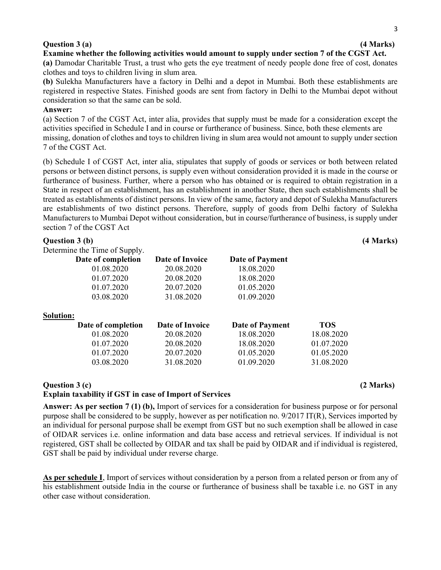### Question 3 (a) (4 Marks)

(a) Damodar Charitable Trust, a trust who gets the eye treatment of needy people done free of cost, donates clothes and toys to children living in slum area.

(b) Sulekha Manufacturers have a factory in Delhi and a depot in Mumbai. Both these establishments are registered in respective States. Finished goods are sent from factory in Delhi to the Mumbai depot without consideration so that the same can be sold.

### Answer:

(a) Section 7 of the CGST Act, inter alia, provides that supply must be made for a consideration except the activities specified in Schedule I and in course or furtherance of business. Since, both these elements are missing, donation of clothes and toys to children living in slum area would not amount to supply under section 7 of the CGST Act.

(b) Schedule I of CGST Act, inter alia, stipulates that supply of goods or services or both between related persons or between distinct persons, is supply even without consideration provided it is made in the course or furtherance of business. Further, where a person who has obtained or is required to obtain registration in a State in respect of an establishment, has an establishment in another State, then such establishments shall be treated as establishments of distinct persons. In view of the same, factory and depot of Sulekha Manufacturers are establishments of two distinct persons. Therefore, supply of goods from Delhi factory of Sulekha Manufacturers to Mumbai Depot without consideration, but in course/furtherance of business, is supply under section 7 of the CGST Act

| Question 3 (b)                |                        |                 |            | (4 Marks) |
|-------------------------------|------------------------|-----------------|------------|-----------|
| Determine the Time of Supply. |                        |                 |            |           |
| Date of completion            | Date of Invoice        | Date of Payment |            |           |
| 01.08.2020                    | 20.08.2020             | 18.08.2020      |            |           |
| 01.07.2020                    | 20.08.2020             | 18.08.2020      |            |           |
| 01.07.2020                    | 20.07.2020             | 01.05.2020      |            |           |
| 03.08.2020                    | 31.08.2020             | 01.09.2020      |            |           |
| Solution:                     |                        |                 |            |           |
| Date of completion            | <b>Date of Invoice</b> | Date of Payment | <b>TOS</b> |           |
| 01.08.2020                    | 20.08.2020             | 18.08.2020      | 18.08.2020 |           |
| 01.07.2020                    | 20.08.2020             | 18.08.2020      | 01.07.2020 |           |
| 01.07.2020                    | 20.07.2020             | 01.05.2020      | 01.05.2020 |           |
| 03.08.2020                    | 31.08.2020             | 01.09.2020      | 31.08.2020 |           |
|                               |                        |                 |            |           |

### $\mathbf{Question} \ 3 \mathbf{(c)} \tag{2 Marks}$

### Explain taxability if GST in case of Import of Services

Answer: As per section 7 (1) (b), Import of services for a consideration for business purpose or for personal purpose shall be considered to be supply, however as per notification no. 9/2017 IT(R), Services imported by an individual for personal purpose shall be exempt from GST but no such exemption shall be allowed in case of OIDAR services i.e. online information and data base access and retrieval services. If individual is not registered, GST shall be collected by OIDAR and tax shall be paid by OIDAR and if individual is registered, GST shall be paid by individual under reverse charge.

As per schedule I, Import of services without consideration by a person from a related person or from any of his establishment outside India in the course or furtherance of business shall be taxable i.e. no GST in any other case without consideration.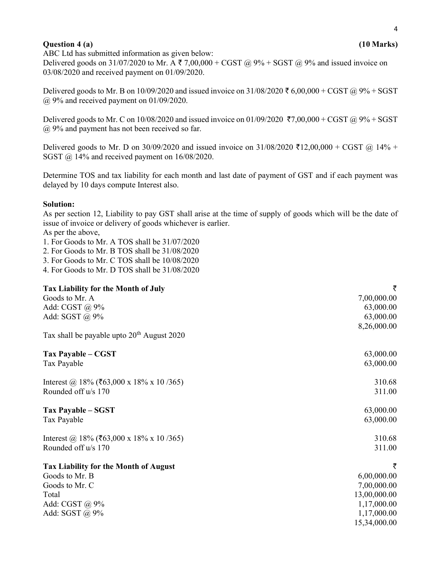### Question 4 (a) (10 Marks)

ABC Ltd has submitted information as given below: Delivered goods on 31/07/2020 to Mr. A  $\bar{\tau}$  7,00,000 + CGST @ 9% + SGST @ 9% and issued invoice on 03/08/2020 and received payment on 01/09/2020.

Delivered goods to Mr. B on  $10/09/2020$  and issued invoice on  $31/08/2020 \, \overline{\sigma}$  6,00,000 + CGST @ 9% + SGST  $(a)$  9% and received payment on 01/09/2020.

Delivered goods to Mr. C on  $10/08/2020$  and issued invoice on  $01/09/2020$   $\overline{z}7,00,000 + \text{CGST}$  @ 9% + SGST @ 9% and payment has not been received so far.

Delivered goods to Mr. D on 30/09/2020 and issued invoice on  $31/08/2020$   $\bar{\tau}12,00,000 + \text{CGST}$  @ 14% + SGST @ 14% and received payment on 16/08/2020.

Determine TOS and tax liability for each month and last date of payment of GST and if each payment was delayed by 10 days compute Interest also.

### Solution:

As per section 12, Liability to pay GST shall arise at the time of supply of goods which will be the date of issue of invoice or delivery of goods whichever is earlier.

As per the above,

1. For Goods to Mr. A TOS shall be 31/07/2020

2. For Goods to Mr. B TOS shall be 31/08/2020

3. For Goods to Mr. C TOS shall be 10/08/2020

4. For Goods to Mr. D TOS shall be 31/08/2020

| Tax Liability for the Month of July          |              |
|----------------------------------------------|--------------|
| Goods to Mr. A                               | 7,00,000.00  |
| Add: CGST @ 9%                               | 63,000.00    |
| Add: SGST @ 9%                               | 63,000.00    |
|                                              | 8,26,000.00  |
| Tax shall be payable upto $20th$ August 2020 |              |
| Tax Payable – CGST                           | 63,000.00    |
| Tax Payable                                  | 63,000.00    |
| Interest @ 18% (₹63,000 x 18% x 10 /365)     | 310.68       |
| Rounded off u/s 170                          | 311.00       |
| <b>Tax Payable – SGST</b>                    | 63,000.00    |
| Tax Payable                                  | 63,000.00    |
| Interest @ 18% (₹63,000 x 18% x 10 /365)     | 310.68       |
| Rounded off u/s 170                          | 311.00       |
| <b>Tax Liability for the Month of August</b> | ₹            |
| Goods to Mr. B                               | 6,00,000.00  |
| Goods to Mr. C                               | 7,00,000.00  |
| Total                                        | 13,00,000.00 |
| Add: CGST @ 9%                               | 1,17,000.00  |
| Add: SGST $\omega$ 9%                        | 1,17,000.00  |
|                                              | 15,34,000.00 |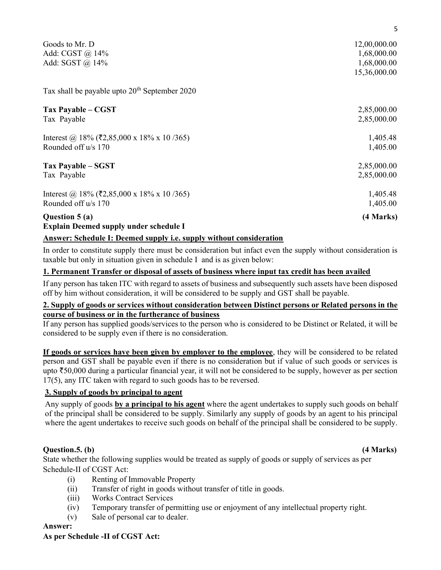| Goods to Mr. D<br>Add: CGST @ 14%<br>Add: SGST @ 14%            | 12,00,000.00<br>1,68,000.00<br>1,68,000.00<br>15,36,000.00 |
|-----------------------------------------------------------------|------------------------------------------------------------|
| Tax shall be payable upto $20th$ September 2020                 |                                                            |
| Tax Payable – CGST                                              | 2,85,000.00                                                |
| Tax Payable                                                     | 2,85,000.00                                                |
| Interest @ 18% (₹2,85,000 x 18% x 10/365)                       | 1,405.48                                                   |
| Rounded off u/s 170                                             | 1,405.00                                                   |
| Tax Payable – SGST                                              | 2,85,000.00                                                |
| Tax Payable                                                     | 2,85,000.00                                                |
| Interest @ 18% (₹2,85,000 x 18% x 10/365)                       | 1,405.48                                                   |
| Rounded off u/s 170                                             | 1,405.00                                                   |
| Question 5 (a)<br><b>Explain Deemed supply under schedule I</b> | (4 Marks)                                                  |

### Answer: Schedule I: Deemed supply i.e. supply without consideration

In order to constitute supply there must be consideration but infact even the supply without consideration is taxable but only in situation given in schedule I and is as given below:

### 1. Permanent Transfer or disposal of assets of business where input tax credit has been availed

If any person has taken ITC with regard to assets of business and subsequently such assets have been disposed off by him without consideration, it will be considered to be supply and GST shall be payable.

### 2. Supply of goods or services without consideration between Distinct persons or Related persons in the course of business or in the furtherance of business

If any person has supplied goods/services to the person who is considered to be Distinct or Related, it will be considered to be supply even if there is no consideration.

If goods or services have been given by employer to the employee, they will be considered to be related person and GST shall be payable even if there is no consideration but if value of such goods or services is upto  $\overline{50,000}$  during a particular financial year, it will not be considered to be supply, however as per section 17(5), any ITC taken with regard to such goods has to be reversed.

### 3. Supply of goods by principal to agent

Any supply of goods by a principal to his agent where the agent undertakes to supply such goods on behalf of the principal shall be considered to be supply. Similarly any supply of goods by an agent to his principal where the agent undertakes to receive such goods on behalf of the principal shall be considered to be supply.

### Question.5. (b) (4 Marks)

State whether the following supplies would be treated as supply of goods or supply of services as per Schedule-II of CGST Act:

- (i) Renting of Immovable Property
- (ii) Transfer of right in goods without transfer of title in goods.
- (iii) Works Contract Services
- (iv) Temporary transfer of permitting use or enjoyment of any intellectual property right.
- (v) Sale of personal car to dealer.

### Answer:

### As per Schedule -II of CGST Act: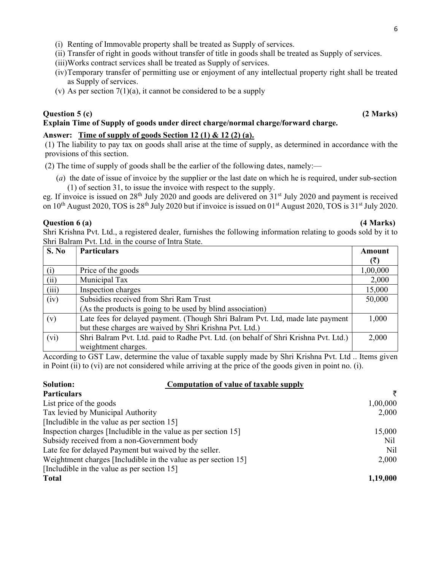- (i) Renting of Immovable property shall be treated as Supply of services.
- (ii) Transfer of right in goods without transfer of title in goods shall be treated as Supply of services.
- (iii)Works contract services shall be treated as Supply of services.
- (iv)Temporary transfer of permitting use or enjoyment of any intellectual property right shall be treated as Supply of services.
- (v) As per section  $7(1)(a)$ , it cannot be considered to be a supply

### Question 5 (c) (2 Marks)

### Explain Time of Supply of goods under direct charge/normal charge/forward charge.

### Answer: Time of supply of goods Section 12 (1) & 12 (2) (a).

(1) The liability to pay tax on goods shall arise at the time of supply, as determined in accordance with the provisions of this section.

(2) The time of supply of goods shall be the earlier of the following dates, namely:—

 (a) the date of issue of invoice by the supplier or the last date on which he is required, under sub-section (1) of section 31, to issue the invoice with respect to the supply.

eg. If invoice is issued on  $28<sup>th</sup>$  July 2020 and goods are delivered on  $31<sup>st</sup>$  July 2020 and payment is received on  $10^{th}$  August 2020, TOS is 28<sup>th</sup> July 2020 but if invoice is issued on  $01^{st}$  August 2020, TOS is 31<sup>st</sup> July 2020.

### Question 6 (a) (4 Marks)

Shri Krishna Pvt. Ltd., a registered dealer, furnishes the following information relating to goods sold by it to Shri Balram Pvt. Ltd. in the course of Intra State.

| S. No | <b>Particulars</b>                                                                  | <b>Amount</b> |
|-------|-------------------------------------------------------------------------------------|---------------|
|       |                                                                                     | (₹)           |
| (i)   | Price of the goods                                                                  | 1,00,000      |
| (ii)  | Municipal Tax                                                                       | 2,000         |
| (iii) | Inspection charges                                                                  | 15,000        |
| (iv)  | Subsidies received from Shri Ram Trust                                              | 50,000        |
|       | (As the products is going to be used by blind association)                          |               |
| (v)   | Late fees for delayed payment. (Though Shri Balram Pvt. Ltd, made late payment      | 1,000         |
|       | but these charges are waived by Shri Krishna Pvt. Ltd.)                             |               |
| (vi)  | Shri Balram Pvt. Ltd. paid to Radhe Pvt. Ltd. (on behalf of Shri Krishna Pvt. Ltd.) | 2,000         |
|       | weightment charges.                                                                 |               |

According to GST Law, determine the value of taxable supply made by Shri Krishna Pvt. Ltd .. Items given in Point (ii) to (vi) are not considered while arriving at the price of the goods given in point no. (i).

| <b>Solution:</b>                                               | <b>Computation of value of taxable supply</b> |            |
|----------------------------------------------------------------|-----------------------------------------------|------------|
| <b>Particulars</b>                                             |                                               | ₹          |
| List price of the goods                                        |                                               | 1,00,000   |
| Tax levied by Municipal Authority                              |                                               | 2,000      |
| [Includible in the value as per section 15]                    |                                               |            |
| Inspection charges [Includible in the value as per section 15] |                                               | 15,000     |
| Subsidy received from a non-Government body                    |                                               | <b>Nil</b> |
| Late fee for delayed Payment but waived by the seller.         |                                               | Nil        |
| Weightment charges [Includible in the value as per section 15] |                                               | 2,000      |
| [Includible in the value as per section 15]                    |                                               |            |
| <b>Total</b>                                                   |                                               | 1,19,000   |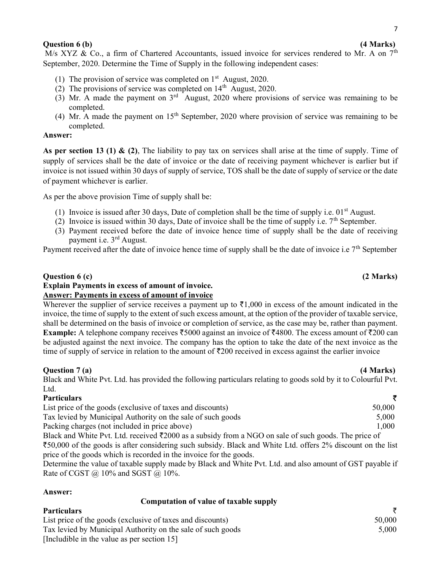### Question 6 (b) (4 Marks)

M/s XYZ & Co., a firm of Chartered Accountants, issued invoice for services rendered to Mr. A on 7<sup>th</sup> September, 2020. Determine the Time of Supply in the following independent cases:

- (1) The provision of service was completed on  $1<sup>st</sup>$  August, 2020.
- (2) The provisions of service was completed on  $14<sup>th</sup>$  August, 2020.
- (3) Mr. A made the payment on 3rd August, 2020 where provisions of service was remaining to be completed.
- (4) Mr. A made the payment on  $15<sup>th</sup>$  September, 2020 where provision of service was remaining to be completed.

### Answer:

As per section 13 (1)  $\&$  (2), The liability to pay tax on services shall arise at the time of supply. Time of supply of services shall be the date of invoice or the date of receiving payment whichever is earlier but if invoice is not issued within 30 days of supply of service, TOS shall be the date of supply of service or the date of payment whichever is earlier.

As per the above provision Time of supply shall be:

- (1) Invoice is issued after 30 days, Date of completion shall be the time of supply i.e.  $01<sup>st</sup>$  August.
- (2) Invoice is issued within 30 days, Date of invoice shall be the time of supply i.e.  $7<sup>th</sup>$  September.
- (3) Payment received before the date of invoice hence time of supply shall be the date of receiving payment i.e. 3rd August.

Payment received after the date of invoice hence time of supply shall be the date of invoice i.e  $7<sup>th</sup>$  September

### Question 6 (c) (2 Marks)

### Explain Payments in excess of amount of invoice.

### Answer: Payments in excess of amount of invoice

Wherever the supplier of service receives a payment up to  $\bar{\tau}1,000$  in excess of the amount indicated in the invoice, the time of supply to the extent of such excess amount, at the option of the provider of taxable service, shall be determined on the basis of invoice or completion of service, as the case may be, rather than payment. Example: A telephone company receives  $\bar{z}5000$  against an invoice of  $\bar{z}4800$ . The excess amount of  $\bar{z}200$  can be adjusted against the next invoice. The company has the option to take the date of the next invoice as the time of supply of service in relation to the amount of  $\overline{200}$  received in excess against the earlier invoice

### $Question 7 (a)$  (4 Marks)

Black and White Pvt. Ltd. has provided the following particulars relating to goods sold by it to Colourful Pvt. Ltd.

| <b>Particulars</b>                                                                                                   |        |
|----------------------------------------------------------------------------------------------------------------------|--------|
| List price of the goods (exclusive of taxes and discounts)                                                           | 50,000 |
| Tax levied by Municipal Authority on the sale of such goods                                                          | 5.000  |
| Packing charges (not included in price above)                                                                        | 1.000  |
| Black and White Pvt. Ltd. received $\overline{\tau}2000$ as a subsidy from a NGO on sale of such goods. The price of |        |

`50,000 of the goods is after considering such subsidy. Black and White Ltd. offers 2% discount on the list price of the goods which is recorded in the invoice for the goods.

Determine the value of taxable supply made by Black and White Pvt. Ltd. and also amount of GST payable if Rate of CGST  $\omega$  10% and SGST  $\omega$  10%.

### Answer:

### Computation of value of taxable supply

### **Particulars**  $\bar{z}$

List price of the goods (exclusive of taxes and discounts) 50,000 Tax levied by Municipal Authority on the sale of such goods 5,000 [Includible in the value as per section 15]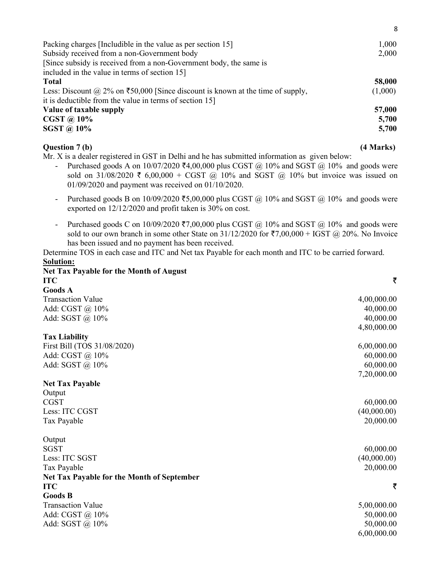| Packing charges [Includible in the value as per section 15]                                | 1,000   |
|--------------------------------------------------------------------------------------------|---------|
| Subsidy received from a non-Government body                                                | 2,000   |
| [Since subsidy is received from a non-Government body, the same is                         |         |
| included in the value in terms of section 15]                                              |         |
| <b>Total</b>                                                                               | 58,000  |
| Less: Discount @ 2% on $\overline{50,000}$ [Since discount is known at the time of supply, | (1,000) |
| it is deductible from the value in terms of section 15]                                    |         |
| Value of taxable supply                                                                    | 57,000  |
| CGST $\omega$ 10%                                                                          | 5,700   |
| SGST $\omega$ 10%                                                                          | 5,700   |
|                                                                                            |         |

### Question 7 (b) (4 Marks)

en andere andere andere andere andere andere andere andere andere andere andere andere andere andere andere a<br>En de andere andere andere andere andere andere andere andere andere andere andere andere andere andere andere

Mr. X is a dealer registered in GST in Delhi and he has submitted information as given below:

- Purchased goods A on  $10/07/2020$   $\overline{6}4,00,000$  plus CGST @ 10% and SGST @ 10% and goods were sold on 31/08/2020  $\bar{\tau}$  6,00,000 + CGST @ 10% and SGST @ 10% but invoice was issued on 01/09/2020 and payment was received on 01/10/2020.
- Purchased goods B on  $10/09/2020$   $\overline{5}5,00,000$  plus CGST  $\omega$  10% and SGST  $\omega$  10% and goods were exported on 12/12/2020 and profit taken is 30% on cost.
- Purchased goods C on  $10/09/2020$   $\overline{57,00,000}$  plus CGST  $\omega$  10% and SGST  $\omega$  10% and goods were sold to our own branch in some other State on  $31/12/2020$  for  $\overline{57,00,000} + \text{IGST}$  @ 20%. No Invoice has been issued and no payment has been received.

Determine TOS in each case and ITC and Net tax Payable for each month and ITC to be carried forward. Solution:

| <b>Net Tax Payable for the Month of August</b>    |             |
|---------------------------------------------------|-------------|
| <b>ITC</b>                                        | ₹           |
| <b>Goods A</b>                                    |             |
| <b>Transaction Value</b>                          | 4,00,000.00 |
| Add: CGST @ 10%                                   | 40,000.00   |
| Add: SGST @ 10%                                   | 40,000.00   |
|                                                   | 4,80,000.00 |
| <b>Tax Liability</b>                              |             |
| First Bill (TOS 31/08/2020)                       | 6,00,000.00 |
| Add: CGST @ 10%                                   | 60,000.00   |
| Add: SGST @ 10%                                   | 60,000.00   |
|                                                   | 7,20,000.00 |
| <b>Net Tax Payable</b>                            |             |
| Output                                            |             |
| <b>CGST</b>                                       | 60,000.00   |
| Less: ITC CGST                                    | (40,000.00) |
| Tax Payable                                       | 20,000.00   |
| Output                                            |             |
| <b>SGST</b>                                       | 60,000.00   |
| Less: ITC SGST                                    | (40,000.00) |
| Tax Payable                                       | 20,000.00   |
| <b>Net Tax Payable for the Month of September</b> |             |
| <b>ITC</b>                                        | ₹           |
| <b>Goods B</b>                                    |             |
| <b>Transaction Value</b>                          | 5,00,000.00 |
| Add: CGST @ 10%                                   | 50,000.00   |
| Add: SGST @ 10%                                   | 50,000.00   |
|                                                   | 6,00,000.00 |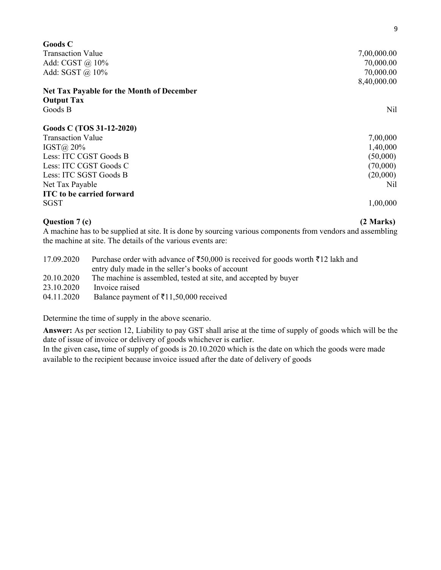| <b>Goods C</b>                                   |             |
|--------------------------------------------------|-------------|
| <b>Transaction Value</b>                         | 7,00,000.00 |
| Add: CGST $\omega$ 10%                           | 70,000.00   |
| Add: SGST @ 10%                                  | 70,000.00   |
|                                                  | 8,40,000.00 |
| <b>Net Tax Payable for the Month of December</b> |             |
| <b>Output Tax</b>                                |             |
| Goods B                                          | Nil         |
| Goods C (TOS 31-12-2020)                         |             |
| <b>Transaction Value</b>                         | 7,00,000    |
| IGST $\omega$ 20%                                | 1,40,000    |
| Less: ITC CGST Goods B                           | (50,000)    |
| Less: ITC CGST Goods C                           | (70,000)    |
| Less: ITC SGST Goods B                           | (20,000)    |
| Net Tax Payable                                  | Nil         |
| <b>ITC</b> to be carried forward                 |             |
| <b>SGST</b>                                      | 1,00,000    |

### $Question\ 7\ (c)$  (2 Marks)

A machine has to be supplied at site. It is done by sourcing various components from vendors and assembling the machine at site. The details of the various events are:

| 17.09.2020 | Purchase order with advance of $\overline{50,000}$ is received for goods worth $\overline{512}$ lakh and |
|------------|----------------------------------------------------------------------------------------------------------|
|            | entry duly made in the seller's books of account                                                         |
| 20.10.2020 | The machine is assembled, tested at site, and accepted by buyer                                          |
| 23.10.2020 | Invoice raised                                                                                           |
| 04.11.2020 | Balance payment of $\bar{\tau}$ 11,50,000 received                                                       |

Determine the time of supply in the above scenario.

Answer: As per section 12, Liability to pay GST shall arise at the time of supply of goods which will be the date of issue of invoice or delivery of goods whichever is earlier.

In the given case, time of supply of goods is 20.10.2020 which is the date on which the goods were made available to the recipient because invoice issued after the date of delivery of goods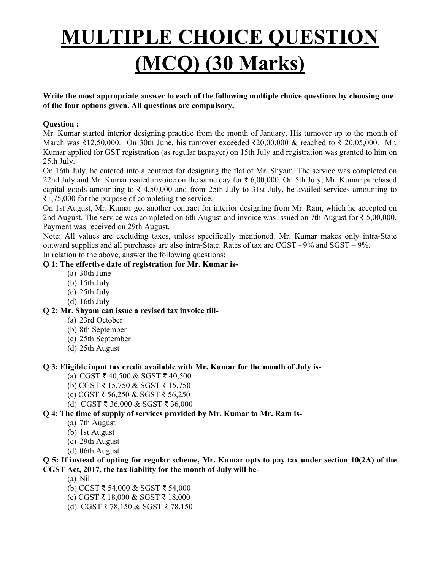# MULTIPLE CHOICE QUESTION (MCQ) (30 Marks)

Write the most appropriate answer to each of the following multiple choice questions by choosing one of the four options given. All questions are compulsory.

### Question :

Mr. Kumar started interior designing practice from the month of January. His turnover up to the month of March was ₹12,50,000. On 30th June, his turnover exceeded ₹20,00,000 & reached to ₹ 20,05,000. Mr. Kumar applied for GST registration (as regular taxpayer) on 15th July and registration was granted to him on 25th July.

On 16th July, he entered into a contract for designing the flat of Mr. Shyam. The service was completed on 22nd July and Mr. Kumar issued invoice on the same day for ₹ 6,00,000. On 5th July, Mr. Kumar purchased capital goods amounting to  $\overline{\xi}$  4,50,000 and from 25th July to 31st July, he availed services amounting to ₹1,75,000 for the purpose of completing the service.

On 1st August, Mr. Kumar got another contract for interior designing from Mr. Ram, which he accepted on 2nd August. The service was completed on 6th August and invoice was issued on 7th August for ₹ 5,00,000. Payment was received on 29th August.

Note: All values are excluding taxes, unless specifically mentioned. Mr. Kumar makes only intra-State outward supplies and all purchases are also intra-State. Rates of tax are CGST - 9% and SGST – 9%.

In relation to the above, answer the following questions:

### Q 1: The effective date of registration for Mr. Kumar is-

- (a) 30th June
- (b) 15th July
- (c) 25th July
- (d) 16th July

### Q 2: Mr. Shyam can issue a revised tax invoice till-

- (a) 23rd October
- (b) 8th September
- (c) 25th September
- (d) 25th August

### Q 3: Eligible input tax credit available with Mr. Kumar for the month of July is-

- (a) CGST ₹ 40,500 & SGST ₹ 40,500
- (b) CGST ₹ 15,750 & SGST ₹ 15,750
- (c) CGST ₹ 56,250 & SGST ₹ 56,250
- (d) CGST ₹ 36,000 & SGST ₹ 36,000

### Q 4: The time of supply of services provided by Mr. Kumar to Mr. Ram is-

(a) 7th August

- (b) 1st August
- (c) 29th August
- (d) 06th August

### Q 5: If instead of opting for regular scheme, Mr. Kumar opts to pay tax under section  $10(2A)$  of the CGST Act, 2017, the tax liability for the month of July will be-

(a) Nil

- (b) CGST ₹ 54,000 & SGST ₹ 54,000
- (c) CGST ₹ 18,000 & SGST ₹ 18,000
- (d) CGST ₹ 78,150 & SGST ₹ 78,150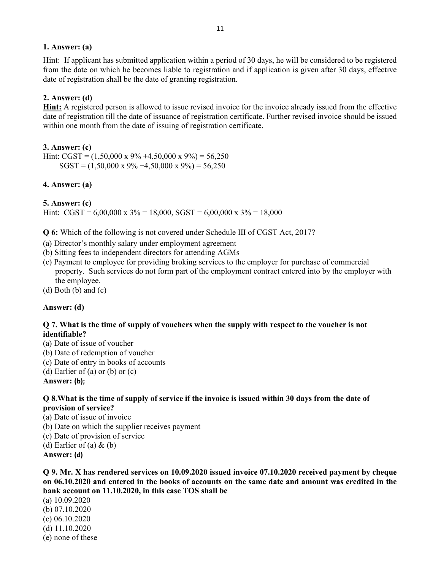### 1. Answer: (a)

Hint: If applicant has submitted application within a period of 30 days, he will be considered to be registered from the date on which he becomes liable to registration and if application is given after 30 days, effective date of registration shall be the date of granting registration.

### 2. Answer: (d)

Hint: A registered person is allowed to issue revised invoice for the invoice already issued from the effective date of registration till the date of issuance of registration certificate. Further revised invoice should be issued within one month from the date of issuing of registration certificate.

### 3. Answer: (c)

Hint: CGST =  $(1,50,000 \times 9\% +4,50,000 \times 9\%) = 56,250$  $SGST = (1,50,000 \times 9\% +4,50,000 \times 9\%) = 56,250$ 

### 4. Answer: (a)

5. Answer: (c) Hint:  $CGST = 6,00,000 \times 3\% = 18,000$ ,  $SGST = 6,00,000 \times 3\% = 18,000$ 

Q 6: Which of the following is not covered under Schedule III of CGST Act, 2017?

- (a) Director's monthly salary under employment agreement
- (b) Sitting fees to independent directors for attending AGMs
- (c) Payment to employee for providing broking services to the employer for purchase of commercial property. Such services do not form part of the employment contract entered into by the employer with the employee.
- (d) Both (b) and (c)

### Answer: (d)

### Q 7. What is the time of supply of vouchers when the supply with respect to the voucher is not identifiable?

- (a) Date of issue of voucher
- (b) Date of redemption of voucher
- (c) Date of entry in books of accounts
- (d) Earlier of (a) or (b) or  $(c)$

### Answer: (b);

### Q 8.What is the time of supply of service if the invoice is issued within 30 days from the date of provision of service?

(a) Date of issue of invoice (b) Date on which the supplier receives payment (c) Date of provision of service (d) Earlier of (a)  $\&$  (b) Answer: (d)

### Q 9. Mr. X has rendered services on 10.09.2020 issued invoice 07.10.2020 received payment by cheque on 06.10.2020 and entered in the books of accounts on the same date and amount was credited in the bank account on 11.10.2020, in this case TOS shall be

(a) 10.09.2020 (b) 07.10.2020 (c) 06.10.2020 (d) 11.10.2020 (e) none of these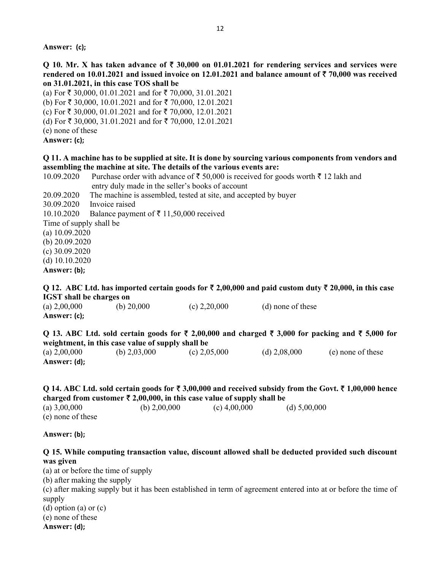Answer: (c);

Q 10. Mr. X has taken advance of  $\bar{\tau}$  30,000 on 01.01.2021 for rendering services and services were rendered on 10.01.2021 and issued invoice on 12.01.2021 and balance amount of  $\bar{\tau}$  70.000 was received on 31.01.2021, in this case TOS shall be

(a) For  $\bar{\tau}$  30,000, 01.01.2021 and for  $\bar{\tau}$  70,000, 31.01.2021 (b) For  $\bar{\tau}$  30,000, 10.01.2021 and for  $\bar{\tau}$  70,000, 12.01.2021 (c) For  $\bar{\tau}$  30,000, 01.01.2021 and for  $\bar{\tau}$  70,000, 12.01.2021 (d) For ₹ 30,000, 31.01.2021 and for ₹ 70,000, 12.01.2021 (e) none of these Answer: (c);

### Q 11. A machine has to be supplied at site. It is done by sourcing various components from vendors and assembling the machine at site. The details of the various events are:

10.09.2020 Purchase order with advance of  $\bar{\tau}$  50,000 is received for goods worth  $\bar{\tau}$  12 lakh and entry duly made in the seller's books of account 20.09.2020 The machine is assembled, tested at site, and accepted by buyer 30.09.2020 Invoice raised 10.10.2020 Balance payment of  $\bar{\tau}$  11,50,000 received Time of supply shall be (a) 10.09.2020 (b) 20.09.2020 (c) 30.09.2020 (d) 10.10.2020

Answer: (b);

### Q 12. ABC Ltd. has imported certain goods for  $\bar{\tau}$  2,00,000 and paid custom duty  $\bar{\tau}$  20,000, in this case IGST shall be charges on

(a)  $2,00,000$  (b)  $20,000$  (c)  $2,20,000$  (d) none of these Answer: (c);

Q 13. ABC Ltd. sold certain goods for  $\bar{\tau}$  2,00,000 and charged  $\bar{\tau}$  3,000 for packing and  $\bar{\tau}$  5,000 for weightment, in this case value of supply shall be (a) 2,00,000 (b) 2,03,000 (c) 2,05,000 (d) 2,08,000 (e) none of these Answer: (d);

### Q 14. ABC Ltd. sold certain goods for  $\bar{z}$  3,00,000 and received subsidy from the Govt.  $\bar{z}$  1,00,000 hence charged from customer  $\bar{\tau}$  2,00,000, in this case value of supply shall be

(a)  $3,00,000$  (b)  $2,00,000$  (c)  $4,00,000$  (d)  $5,00,000$ (e) none of these

Answer: (b);

### Q 15. While computing transaction value, discount allowed shall be deducted provided such discount was given

(a) at or before the time of supply

(b) after making the supply

(c) after making supply but it has been established in term of agreement entered into at or before the time of supply

(d) option (a) or  $(c)$ 

(e) none of these

Answer: (d);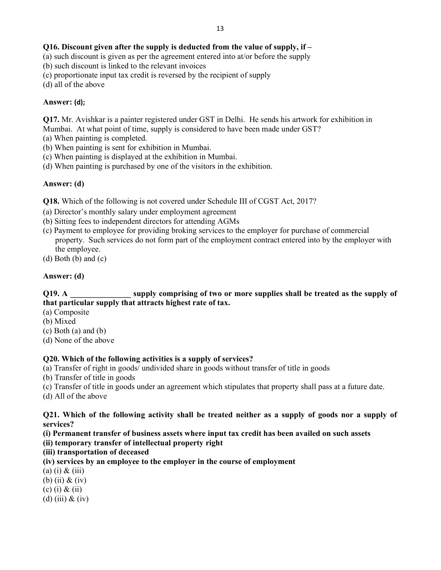### Q16. Discount given after the supply is deducted from the value of supply, if –

(a) such discount is given as per the agreement entered into at/or before the supply

(b) such discount is linked to the relevant invoices

- (c) proportionate input tax credit is reversed by the recipient of supply
- (d) all of the above

### Answer: (d);

Q17. Mr. Avishkar is a painter registered under GST in Delhi. He sends his artwork for exhibition in

Mumbai. At what point of time, supply is considered to have been made under GST?

(a) When painting is completed.

- (b) When painting is sent for exhibition in Mumbai.
- (c) When painting is displayed at the exhibition in Mumbai.
- (d) When painting is purchased by one of the visitors in the exhibition.

### Answer: (d)

Q18. Which of the following is not covered under Schedule III of CGST Act, 2017?

- (a) Director's monthly salary under employment agreement
- (b) Sitting fees to independent directors for attending AGMs
- (c) Payment to employee for providing broking services to the employer for purchase of commercial property. Such services do not form part of the employment contract entered into by the employer with the employee.
- (d) Both (b) and (c)

### Answer: (d)

Q19. A supply comprising of two or more supplies shall be treated as the supply of that particular supply that attracts highest rate of tax.

- (a) Composite
- (b) Mixed
- (c) Both (a) and (b)
- (d) None of the above

### Q20. Which of the following activities is a supply of services?

- (a) Transfer of right in goods/ undivided share in goods without transfer of title in goods
- (b) Transfer of title in goods
- (c) Transfer of title in goods under an agreement which stipulates that property shall pass at a future date.
- (d) All of the above

### Q21. Which of the following activity shall be treated neither as a supply of goods nor a supply of services?

(i) Permanent transfer of business assets where input tax credit has been availed on such assets (ii) temporary transfer of intellectual property right

### (iii) transportation of deceased

(iv) services by an employee to the employer in the course of employment

 $(a)$  (i) & (iii)

(b) (ii) & (iv)

(c) (i) & (ii)

(d) (iii)  $\&$  (iv)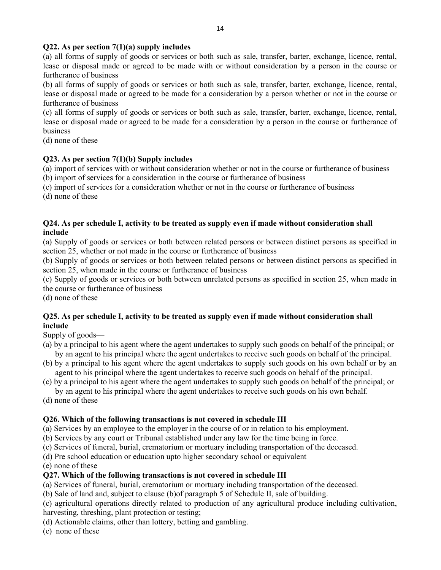### Q22. As per section  $7(1)(a)$  supply includes

(a) all forms of supply of goods or services or both such as sale, transfer, barter, exchange, licence, rental, lease or disposal made or agreed to be made with or without consideration by a person in the course or furtherance of business

(b) all forms of supply of goods or services or both such as sale, transfer, barter, exchange, licence, rental, lease or disposal made or agreed to be made for a consideration by a person whether or not in the course or furtherance of business

(c) all forms of supply of goods or services or both such as sale, transfer, barter, exchange, licence, rental, lease or disposal made or agreed to be made for a consideration by a person in the course or furtherance of business

(d) none of these

### Q23. As per section 7(1)(b) Supply includes

(a) import of services with or without consideration whether or not in the course or furtherance of business (b) import of services for a consideration in the course or furtherance of business

(c) import of services for a consideration whether or not in the course or furtherance of business

(d) none of these

### Q24. As per schedule I, activity to be treated as supply even if made without consideration shall include

(a) Supply of goods or services or both between related persons or between distinct persons as specified in section 25, whether or not made in the course or furtherance of business

(b) Supply of goods or services or both between related persons or between distinct persons as specified in section 25, when made in the course or furtherance of business

(c) Supply of goods or services or both between unrelated persons as specified in section 25, when made in the course or furtherance of business

(d) none of these

### Q25. As per schedule I, activity to be treated as supply even if made without consideration shall include

Supply of goods—

- (a) by a principal to his agent where the agent undertakes to supply such goods on behalf of the principal; or by an agent to his principal where the agent undertakes to receive such goods on behalf of the principal.
- (b) by a principal to his agent where the agent undertakes to supply such goods on his own behalf or by an agent to his principal where the agent undertakes to receive such goods on behalf of the principal.
- (c) by a principal to his agent where the agent undertakes to supply such goods on behalf of the principal; or by an agent to his principal where the agent undertakes to receive such goods on his own behalf.
- (d) none of these

### Q26. Which of the following transactions is not covered in schedule III

(a) Services by an employee to the employer in the course of or in relation to his employment.

(b) Services by any court or Tribunal established under any law for the time being in force.

(c) Services of funeral, burial, crematorium or mortuary including transportation of the deceased.

(d) Pre school education or education upto higher secondary school or equivalent

(e) none of these

### Q27. Which of the following transactions is not covered in schedule III

(a) Services of funeral, burial, crematorium or mortuary including transportation of the deceased.

(b) Sale of land and, subject to clause (b)of paragraph 5 of Schedule II, sale of building.

(c) agricultural operations directly related to production of any agricultural produce including cultivation, harvesting, threshing, plant protection or testing;

(d) Actionable claims, other than lottery, betting and gambling.

(e) none of these